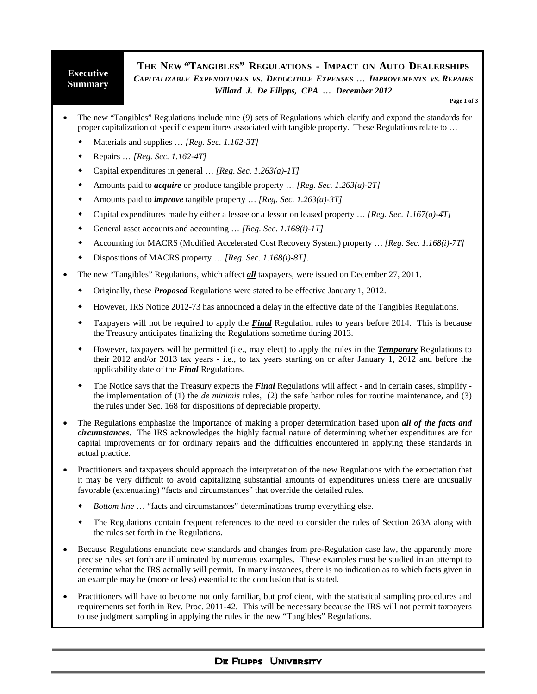## **Executive Summary**

## **THE NEW "TANGIBLES" REGULATIONS - IMPACT ON AUTO DEALERSHIPS** *CAPITALIZABLE EXPENDITURES VS. DEDUCTIBLE EXPENSES … IMPROVEMENTS VS. REPAIRS Willard J. De Filipps, CPA … December 2012*

**Page 1 of 3**

- The new "Tangibles" Regulations include nine (9) sets of Regulations which clarify and expand the standards for proper capitalization of specific expenditures associated with tangible property. These Regulations relate to …
	- Materials and supplies … *[Reg. Sec. 1.162-3T]*
	- Repairs … *[Reg. Sec. 1.162-4T]*
	- Capital expenditures in general … *[Reg. Sec. 1.263(a)-1T]*
	- Amounts paid to *acquire* or produce tangible property … *[Reg. Sec. 1.263(a)-2T]*
	- Amounts paid to *improve* tangible property … *[Reg. Sec. 1.263(a)-3T]*
	- Capital expenditures made by either a lessee or a lessor on leased property … *[Reg. Sec. 1.167(a)-4T]*
	- General asset accounts and accounting … *[Reg. Sec. 1.168(i)-1T]*
	- Accounting for MACRS (Modified Accelerated Cost Recovery System) property … *[Reg. Sec. 1.168(i)-7T]*
	- Dispositions of MACRS property … *[Reg. Sec. 1.168(i)-8T]*.
- The new "Tangibles" Regulations, which affect *all* taxpayers, were issued on December 27, 2011.
	- Originally, these *Proposed* Regulations were stated to be effective January 1, 2012.
	- However, IRS Notice 2012-73 has announced a delay in the effective date of the Tangibles Regulations.
	- Taxpayers will not be required to apply the *Final* Regulation rules to years before 2014. This is because the Treasury anticipates finalizing the Regulations sometime during 2013.
	- However, taxpayers will be permitted (i.e., may elect) to apply the rules in the *Temporary* Regulations to their 2012 and/or 2013 tax years - i.e., to tax years starting on or after January 1, 2012 and before the applicability date of the *Final* Regulations.
	- The Notice says that the Treasury expects the *Final* Regulations will affect and in certain cases, simplify the implementation of (1) the *de minimis* rules, (2) the safe harbor rules for routine maintenance, and (3) the rules under Sec. 168 for dispositions of depreciable property.
- The Regulations emphasize the importance of making a proper determination based upon *all of the facts and circumstances*. The IRS acknowledges the highly factual nature of determining whether expenditures are for capital improvements or for ordinary repairs and the difficulties encountered in applying these standards in actual practice.
- Practitioners and taxpayers should approach the interpretation of the new Regulations with the expectation that it may be very difficult to avoid capitalizing substantial amounts of expenditures unless there are unusually favorable (extenuating) "facts and circumstances" that override the detailed rules.
	- *Bottom line* … "facts and circumstances" determinations trump everything else.
	- The Regulations contain frequent references to the need to consider the rules of Section 263A along with the rules set forth in the Regulations.
- Because Regulations enunciate new standards and changes from pre-Regulation case law, the apparently more precise rules set forth are illuminated by numerous examples. These examples must be studied in an attempt to determine what the IRS actually will permit. In many instances, there is no indication as to which facts given in an example may be (more or less) essential to the conclusion that is stated.
- Practitioners will have to become not only familiar, but proficient, with the statistical sampling procedures and requirements set forth in Rev. Proc. 2011-42. This will be necessary because the IRS will not permit taxpayers to use judgment sampling in applying the rules in the new "Tangibles" Regulations.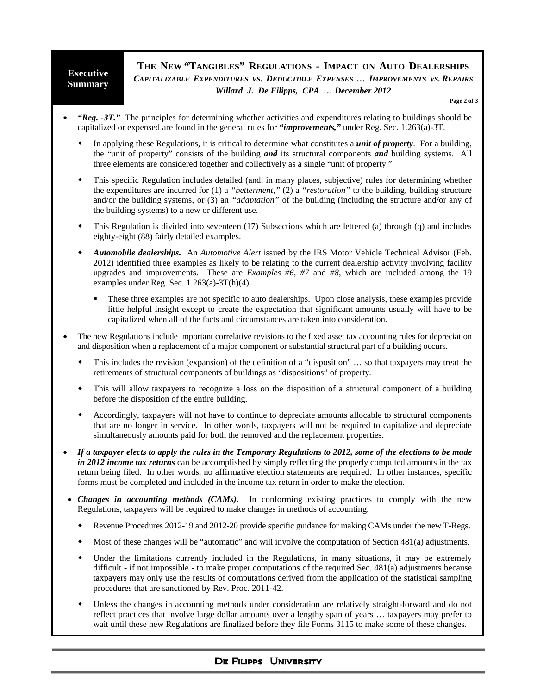#### **Executive Summary**

**THE NEW "TANGIBLES" REGULATIONS - IMPACT ON AUTO DEALERSHIPS** *CAPITALIZABLE EXPENDITURES VS. DEDUCTIBLE EXPENSES … IMPROVEMENTS VS. REPAIRS Willard J. De Filipps, CPA … December 2012*

**Page 2 of 3**

- *"Reg. -3T."* The principles for determining whether activities and expenditures relating to buildings should be capitalized or expensed are found in the general rules for *"improvements,"* under Reg. Sec. 1.263(a)-3T.
	- In applying these Regulations, it is critical to determine what constitutes a *unit of property*. For a building, the "unit of property" consists of the building *and* its structural components *and* building systems. All three elements are considered together and collectively as a single "unit of property."
	- This specific Regulation includes detailed (and, in many places, subjective) rules for determining whether the expenditures are incurred for (1) a *"betterment,"* (2) a *"restoration"* to the building, building structure and/or the building systems, or (3) an *"adaptation"* of the building (including the structure and/or any of the building systems) to a new or different use.
	- This Regulation is divided into seventeen (17) Subsections which are lettered (a) through (q) and includes eighty-eight (88) fairly detailed examples.
	- *Automobile dealerships.* An *Automotive Alert* issued by the IRS Motor Vehicle Technical Advisor (Feb. 2012) identified three examples as likely to be relating to the current dealership activity involving facility upgrades and improvements. These are *Examples #6*, *#7* and *#8*, which are included among the 19 examples under Reg. Sec. 1.263(a)-3T(h)(4).
		- These three examples are not specific to auto dealerships. Upon close analysis, these examples provide little helpful insight except to create the expectation that significant amounts usually will have to be capitalized when all of the facts and circumstances are taken into consideration.
- The new Regulations include important correlative revisions to the fixed asset tax accounting rules for depreciation and disposition when a replacement of a major component or substantial structural part of a building occurs.
	- This includes the revision (expansion) of the definition of a "disposition" … so that taxpayers may treat the retirements of structural components of buildings as "dispositions" of property.
	- This will allow taxpayers to recognize a loss on the disposition of a structural component of a building before the disposition of the entire building.
	- Accordingly, taxpayers will not have to continue to depreciate amounts allocable to structural components that are no longer in service. In other words, taxpayers will not be required to capitalize and depreciate simultaneously amounts paid for both the removed and the replacement properties.
- *If a taxpayer elects to apply the rules in the Temporary Regulations to 2012, some of the elections to be made in 2012 income tax returns* can be accomplished by simply reflecting the properly computed amounts in the tax return being filed. In other words, no affirmative election statements are required. In other instances, specific forms must be completed and included in the income tax return in order to make the election.
- *Changes in accounting methods (CAMs)*. In conforming existing practices to comply with the new Regulations, taxpayers will be required to make changes in methods of accounting.
	- Revenue Procedures 2012-19 and 2012-20 provide specific guidance for making CAMs under the new T-Regs.
	- Most of these changes will be "automatic" and will involve the computation of Section 481(a) adjustments.
	- Under the limitations currently included in the Regulations, in many situations, it may be extremely difficult - if not impossible - to make proper computations of the required Sec. 481(a) adjustments because taxpayers may only use the results of computations derived from the application of the statistical sampling procedures that are sanctioned by Rev. Proc. 2011-42.
	- Unless the changes in accounting methods under consideration are relatively straight-forward and do not reflect practices that involve large dollar amounts over a lengthy span of years … taxpayers may prefer to wait until these new Regulations are finalized before they file Forms 3115 to make some of these changes.

# DE FILIPPS UNIVERSITY